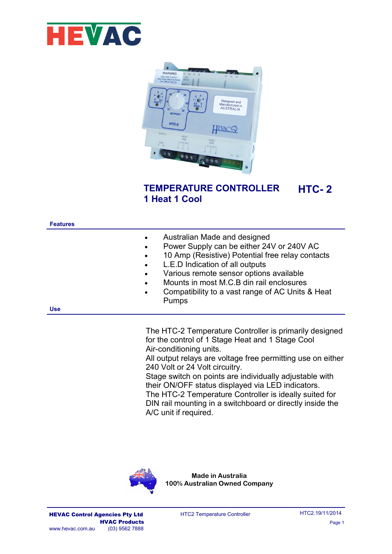



#### **TEMPERATURE CONTROLLER 1 Heat 1 Cool HTC- 2**

| <b>Features</b> |                                                                                         |                                                                                                                                                                                                                                                                                                                             |
|-----------------|-----------------------------------------------------------------------------------------|-----------------------------------------------------------------------------------------------------------------------------------------------------------------------------------------------------------------------------------------------------------------------------------------------------------------------------|
|                 | $\bullet$<br>$\bullet$<br>$\bullet$<br>$\bullet$<br>$\bullet$<br>$\bullet$<br>$\bullet$ | Australian Made and designed<br>Power Supply can be either 24V or 240V AC<br>10 Amp (Resistive) Potential free relay contacts<br>L.E.D Indication of all outputs<br>Various remote sensor options available<br>Mounts in most M.C.B din rail enclosures<br>Compatibility to a vast range of AC Units & Heat<br><b>Pumps</b> |
| <b>Use</b>      |                                                                                         |                                                                                                                                                                                                                                                                                                                             |
|                 |                                                                                         |                                                                                                                                                                                                                                                                                                                             |

The HTC-2 Temperature Controller is primarily designed for the control of 1 Stage Heat and 1 Stage Cool Air-conditioning units.

All output relays are voltage free permitting use on either 240 Volt or 24 Volt circuitry.

Stage switch on points are individually adjustable with their ON/OFF status displayed via LED indicators. The HTC-2 Temperature Controller is ideally suited for DIN rail mounting in a switchboard or directly inside the A/C unit if required.

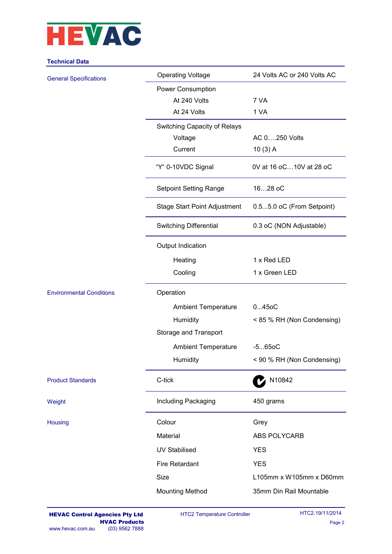

### **Technical Data**

| <b>General Specifications</b>   | <b>Operating Voltage</b>      | 24 Volts AC or 240 Volts AC |
|---------------------------------|-------------------------------|-----------------------------|
|                                 | <b>Power Consumption</b>      |                             |
|                                 | At 240 Volts                  | 7 VA                        |
|                                 | At 24 Volts                   | 1 VA                        |
|                                 | Switching Capacity of Relays  |                             |
|                                 | Voltage                       | AC 0250 Volts               |
|                                 | Current                       | $10(3)$ A                   |
|                                 | "Y" 0-10VDC Signal            | 0V at 16 oC10V at 28 oC     |
|                                 | <b>Setpoint Setting Range</b> | 1628 oC                     |
|                                 | Stage Start Point Adjustment  | 0.55.0 oC (From Setpoint)   |
|                                 | <b>Switching Differential</b> | 0.3 oC (NON Adjustable)     |
|                                 | Output Indication             |                             |
|                                 | Heating                       | 1 x Red LED                 |
|                                 | Cooling                       | 1 x Green LED               |
| <b>Environmental Conditions</b> | Operation                     |                             |
|                                 | <b>Ambient Temperature</b>    | 0450C                       |
|                                 | Humidity                      | < 85 % RH (Non Condensing)  |
|                                 | Storage and Transport         |                             |
|                                 | <b>Ambient Temperature</b>    | $-5650C$                    |
|                                 | Humidity                      | < 90 % RH (Non Condensing)  |
| <b>Product Standards</b>        | C-tick                        | N10842                      |
| Weight                          | Including Packaging           | 450 grams                   |
| <b>Housing</b>                  | Colour                        | Grey                        |
|                                 | Material                      | <b>ABS POLYCARB</b>         |
|                                 | <b>UV Stabilised</b>          | <b>YES</b>                  |
|                                 | <b>Fire Retardant</b>         | <b>YES</b>                  |
|                                 | <b>Size</b>                   | L105mm x W105mm x D60mm     |
|                                 | <b>Mounting Method</b>        | 35mm Din Rail Mountable     |
|                                 |                               |                             |

HTC2 Temperature Controller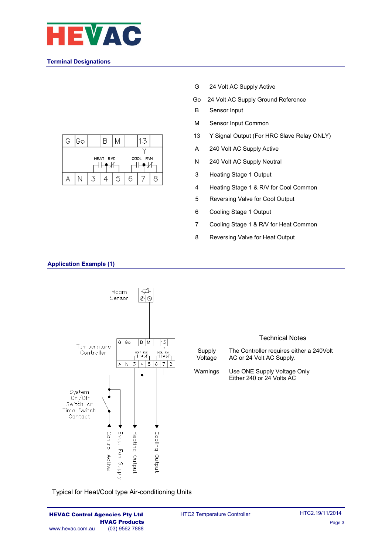

### **Terminal Designations**



- G 24 Volt AC Supply Active
- Go 24 Volt AC Supply Ground Reference
- B Sensor Input
- M Sensor Input Common
- 13 Y Signal Output (For HRC Slave Relay ONLY)
- A 240 Volt AC Supply Active
- N 240 Volt AC Supply Neutral
- 3 Heating Stage 1 Output
- 4 Heating Stage 1 & R/V for Cool Common
- 5 Reversing Valve for Cool Output
- 6 Cooling Stage 1 Output
- 7 Cooling Stage 1 & R/V for Heat Common
- 8 Reversing Valve for Heat Output



**Application Example (1)**

Typical for Heat/Cool type Air-conditioning Units